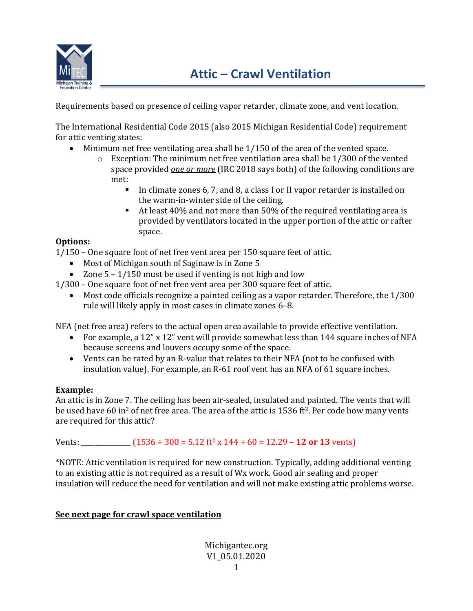

Requirements based on presence of ceiling vapor retarder, climate zone, and vent location.

The International Residential Code 2015 (also 2015 Michigan Residential Code) requirement for attic venting states:

- Minimum net free ventilating area shall be 1/150 of the area of the vented space.
	- o Exception: The minimum net free ventilation area shall be 1/300 of the vented space provided *one or more* (IRC 2018 says both) of the following conditions are met:
		- In climate zones 6, 7, and 8, a class I or II vapor retarder is installed on the warm-in-winter side of the ceiling.
		- At least 40% and not more than 50% of the required ventilating area is provided by ventilators located in the upper portion of the attic or rafter space.

### **Options:**

1/150 – One square foot of net free vent area per 150 square feet of attic.

- Most of Michigan south of Saginaw is in Zone 5
- Zone  $5 1/150$  must be used if venting is not high and low
- 1/300 One square foot of net free vent area per 300 square feet of attic.
	- Most code officials recognize a painted ceiling as a vapor retarder. Therefore, the 1/300 rule will likely apply in most cases in climate zones 6–8.

NFA (net free area) refers to the actual open area available to provide effective ventilation.

- For example, a 12" x 12" vent will provide somewhat less than 144 square inches of NFA because screens and louvers occupy some of the space.
- Vents can be rated by an R-value that relates to their NFA (not to be confused with insulation value). For example, an R-61 roof vent has an NFA of 61 square inches.

# **Example:**

An attic is in Zone 7. The ceiling has been air-sealed, insulated and painted. The vents that will be used have 60 in<sup>2</sup> of net free area. The area of the attic is 1536 ft<sup>2</sup>. Per code how many vents are required for this attic?

Vents:  $(1536 \div 300 = 5.12 \text{ ft}^2 \times 144 \div 60 = 12.29 - 12 \text{ or } 13 \text{ cents})$ 

\*NOTE: Attic ventilation is required for new construction. Typically, adding additional venting to an existing attic is not required as a result of Wx work. Good air sealing and proper insulation will reduce the need for ventilation and will not make existing attic problems worse.

# **See next page for crawl space ventilation**